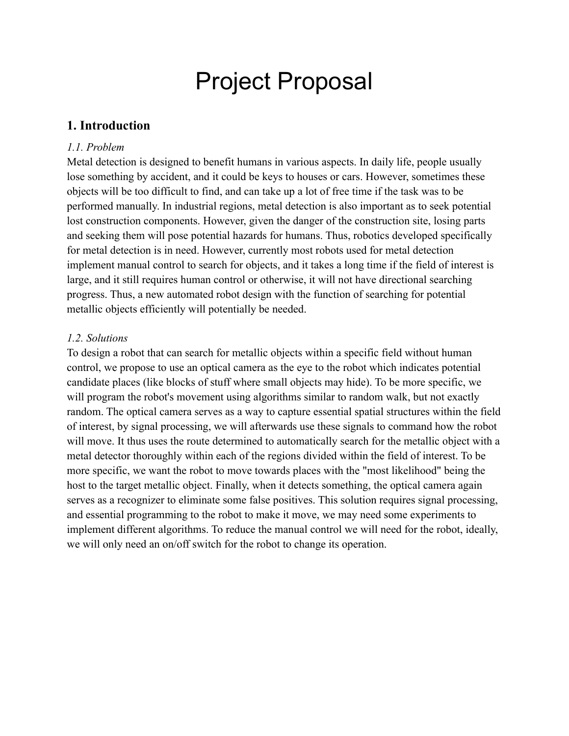# Project Proposal

### **1. Introduction**

#### *1.1. Problem*

Metal detection is designed to benefit humans in various aspects. In daily life, people usually lose something by accident, and it could be keys to houses or cars. However, sometimes these objects will be too difficult to find, and can take up a lot of free time if the task was to be performed manually. In industrial regions, metal detection is also important as to seek potential lost construction components. However, given the danger of the construction site, losing parts and seeking them will pose potential hazards for humans. Thus, robotics developed specifically for metal detection is in need. However, currently most robots used for metal detection implement manual control to search for objects, and it takes a long time if the field of interest is large, and it still requires human control or otherwise, it will not have directional searching progress. Thus, a new automated robot design with the function of searching for potential metallic objects efficiently will potentially be needed.

#### *1.2. Solutions*

To design a robot that can search for metallic objects within a specific field without human control, we propose to use an optical camera as the eye to the robot which indicates potential candidate places (like blocks of stuff where small objects may hide). To be more specific, we will program the robot's movement using algorithms similar to random walk, but not exactly random. The optical camera serves as a way to capture essential spatial structures within the field of interest, by signal processing, we will afterwards use these signals to command how the robot will move. It thus uses the route determined to automatically search for the metallic object with a metal detector thoroughly within each of the regions divided within the field of interest. To be more specific, we want the robot to move towards places with the "most likelihood" being the host to the target metallic object. Finally, when it detects something, the optical camera again serves as a recognizer to eliminate some false positives. This solution requires signal processing, and essential programming to the robot to make it move, we may need some experiments to implement different algorithms. To reduce the manual control we will need for the robot, ideally, we will only need an on/off switch for the robot to change its operation.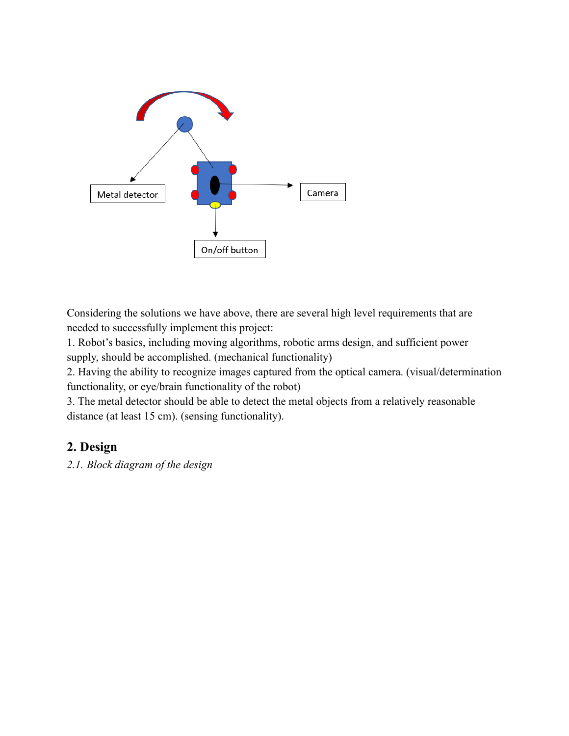

Considering the solutions we have above, there are several high level requirements that are needed to successfully implement this project:

1. Robot's basics, including moving algorithms, robotic arms design, and sufficient power supply, should be accomplished. (mechanical functionality)

2. Having the ability to recognize images captured from the optical camera. (visual/determination functionality, or eye/brain functionality of the robot)

3. The metal detector should be able to detect the metal objects from a relatively reasonable distance (at least 15 cm). (sensing functionality).

# **2. Design**

*2.1. Block diagram of the design*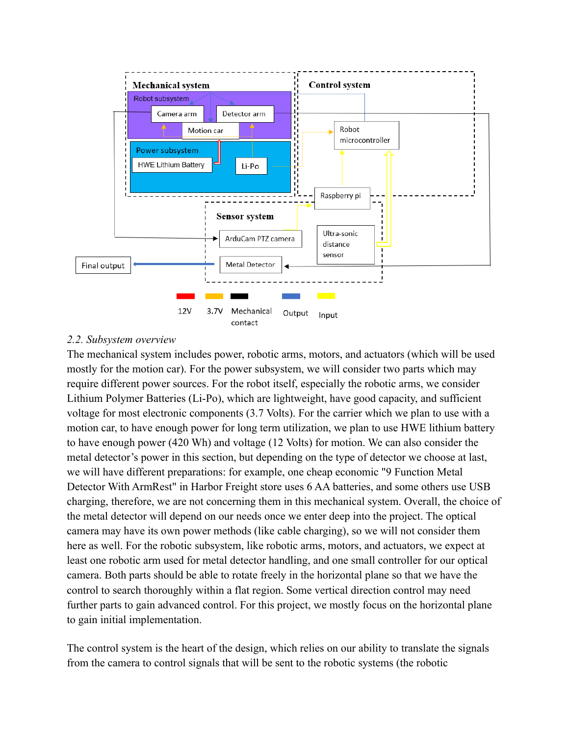

#### *2.2. Subsystem overview*

The mechanical system includes power, robotic arms, motors, and actuators (which will be used mostly for the motion car). For the power subsystem, we will consider two parts which may require different power sources. For the robot itself, especially the robotic arms, we consider Lithium Polymer Batteries (Li-Po), which are lightweight, have good capacity, and sufficient voltage for most electronic components (3.7 Volts). For the carrier which we plan to use with a motion car, to have enough power for long term utilization, we plan to use HWE lithium battery to have enough power (420 Wh) and voltage (12 Volts) for motion. We can also consider the metal detector's power in this section, but depending on the type of detector we choose at last, we will have different preparations: for example, one cheap economic "9 Function Metal Detector With ArmRest" in Harbor Freight store uses 6 AA batteries, and some others use USB charging, therefore, we are not concerning them in this mechanical system. Overall, the choice of the metal detector will depend on our needs once we enter deep into the project. The optical camera may have its own power methods (like cable charging), so we will not consider them here as well. For the robotic subsystem, like robotic arms, motors, and actuators, we expect at least one robotic arm used for metal detector handling, and one small controller for our optical camera. Both parts should be able to rotate freely in the horizontal plane so that we have the control to search thoroughly within a flat region. Some vertical direction control may need further parts to gain advanced control. For this project, we mostly focus on the horizontal plane to gain initial implementation.

The control system is the heart of the design, which relies on our ability to translate the signals from the camera to control signals that will be sent to the robotic systems (the robotic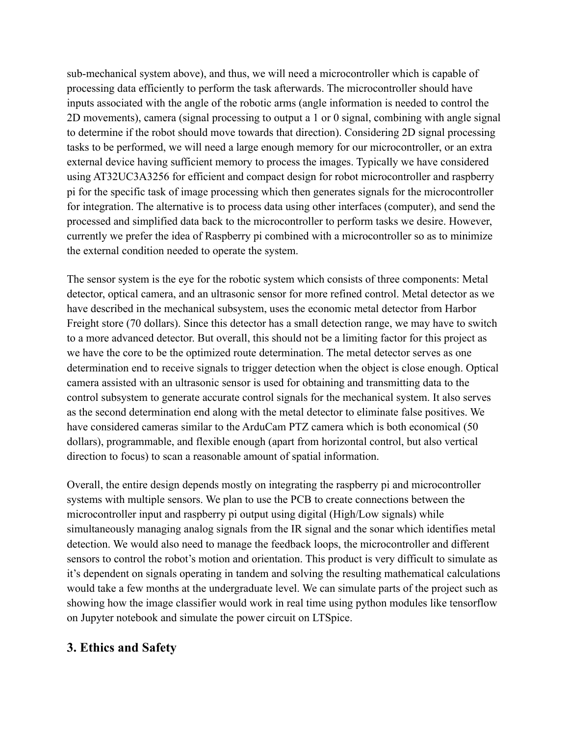sub-mechanical system above), and thus, we will need a microcontroller which is capable of processing data efficiently to perform the task afterwards. The microcontroller should have inputs associated with the angle of the robotic arms (angle information is needed to control the 2D movements), camera (signal processing to output a 1 or 0 signal, combining with angle signal to determine if the robot should move towards that direction). Considering 2D signal processing tasks to be performed, we will need a large enough memory for our microcontroller, or an extra external device having sufficient memory to process the images. Typically we have considered using AT32UC3A3256 for efficient and compact design for robot microcontroller and raspberry pi for the specific task of image processing which then generates signals for the microcontroller for integration. The alternative is to process data using other interfaces (computer), and send the processed and simplified data back to the microcontroller to perform tasks we desire. However, currently we prefer the idea of Raspberry pi combined with a microcontroller so as to minimize the external condition needed to operate the system.

The sensor system is the eye for the robotic system which consists of three components: Metal detector, optical camera, and an ultrasonic sensor for more refined control. Metal detector as we have described in the mechanical subsystem, uses the economic metal detector from Harbor Freight store (70 dollars). Since this detector has a small detection range, we may have to switch to a more advanced detector. But overall, this should not be a limiting factor for this project as we have the core to be the optimized route determination. The metal detector serves as one determination end to receive signals to trigger detection when the object is close enough. Optical camera assisted with an ultrasonic sensor is used for obtaining and transmitting data to the control subsystem to generate accurate control signals for the mechanical system. It also serves as the second determination end along with the metal detector to eliminate false positives. We have considered cameras similar to the ArduCam PTZ camera which is both economical (50 dollars), programmable, and flexible enough (apart from horizontal control, but also vertical direction to focus) to scan a reasonable amount of spatial information.

Overall, the entire design depends mostly on integrating the raspberry pi and microcontroller systems with multiple sensors. We plan to use the PCB to create connections between the microcontroller input and raspberry pi output using digital (High/Low signals) while simultaneously managing analog signals from the IR signal and the sonar which identifies metal detection. We would also need to manage the feedback loops, the microcontroller and different sensors to control the robot's motion and orientation. This product is very difficult to simulate as it's dependent on signals operating in tandem and solving the resulting mathematical calculations would take a few months at the undergraduate level. We can simulate parts of the project such as showing how the image classifier would work in real time using python modules like tensorflow on Jupyter notebook and simulate the power circuit on LTSpice.

## **3. Ethics and Safety**